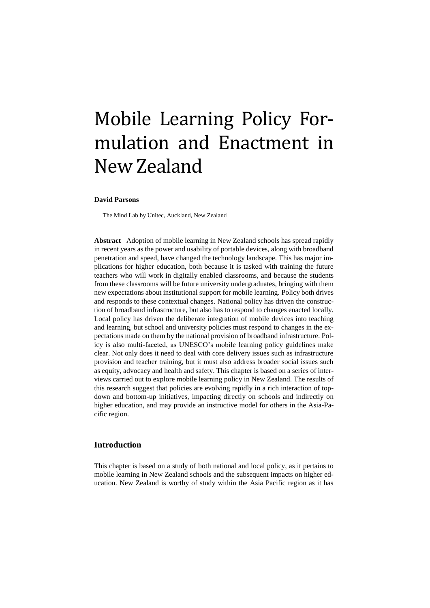# Mobile Learning Policy Formulation and Enactment in New Zealand

#### **David Parsons**

The Mind Lab by Unitec, Auckland, New Zealand

**Abstract** Adoption of mobile learning in New Zealand schools has spread rapidly in recent years as the power and usability of portable devices, along with broadband penetration and speed, have changed the technology landscape. This has major implications for higher education, both because it is tasked with training the future teachers who will work in digitally enabled classrooms, and because the students from these classrooms will be future university undergraduates, bringing with them new expectations about institutional support for mobile learning. Policy both drives and responds to these contextual changes. National policy has driven the construction of broadband infrastructure, but also has to respond to changes enacted locally. Local policy has driven the deliberate integration of mobile devices into teaching and learning, but school and university policies must respond to changes in the expectations made on them by the national provision of broadband infrastructure. Policy is also multi-faceted, as UNESCO's mobile learning policy guidelines make clear. Not only does it need to deal with core delivery issues such as infrastructure provision and teacher training, but it must also address broader social issues such as equity, advocacy and health and safety. This chapter is based on a series of interviews carried out to explore mobile learning policy in New Zealand. The results of this research suggest that policies are evolving rapidly in a rich interaction of topdown and bottom-up initiatives, impacting directly on schools and indirectly on higher education, and may provide an instructive model for others in the Asia-Pacific region.

# **Introduction**

This chapter is based on a study of both national and local policy, as it pertains to mobile learning in New Zealand schools and the subsequent impacts on higher education. New Zealand is worthy of study within the Asia Pacific region as it has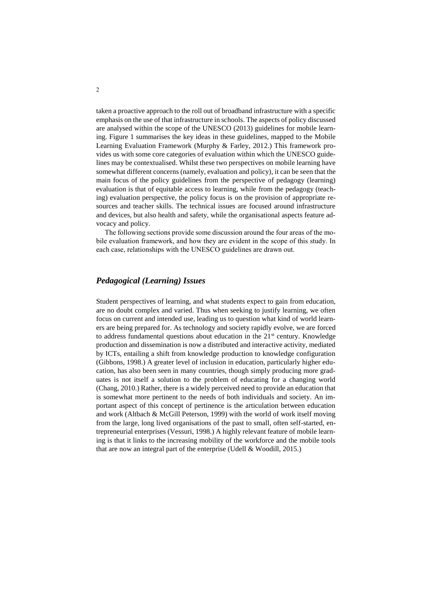taken a proactive approach to the roll out of broadband infrastructure with a specific emphasis on the use of that infrastructure in schools. The aspects of policy discussed are analysed within the scope of the UNESCO (2013) guidelines for mobile learning. Figure 1 summarises the key ideas in these guidelines, mapped to the Mobile Learning Evaluation Framework (Murphy & Farley, 2012.) This framework provides us with some core categories of evaluation within which the UNESCO guidelines may be contextualised. Whilst these two perspectives on mobile learning have somewhat different concerns (namely, evaluation and policy), it can be seen that the main focus of the policy guidelines from the perspective of pedagogy (learning) evaluation is that of equitable access to learning, while from the pedagogy (teaching) evaluation perspective, the policy focus is on the provision of appropriate resources and teacher skills. The technical issues are focused around infrastructure and devices, but also health and safety, while the organisational aspects feature advocacy and policy.

The following sections provide some discussion around the four areas of the mobile evaluation framework, and how they are evident in the scope of this study. In each case, relationships with the UNESCO guidelines are drawn out.

## *Pedagogical (Learning) Issues*

Student perspectives of learning, and what students expect to gain from education, are no doubt complex and varied. Thus when seeking to justify learning, we often focus on current and intended use, leading us to question what kind of world learners are being prepared for. As technology and society rapidly evolve, we are forced to address fundamental questions about education in the  $21<sup>st</sup>$  century. Knowledge production and dissemination is now a distributed and interactive activity, mediated by ICTs, entailing a shift from knowledge production to knowledge configuration (Gibbons, 1998.) A greater level of inclusion in education, particularly higher education, has also been seen in many countries, though simply producing more graduates is not itself a solution to the problem of educating for a changing world (Chang, 2010.) Rather, there is a widely perceived need to provide an education that is somewhat more pertinent to the needs of both individuals and society. An important aspect of this concept of pertinence is the articulation between education and work (Altbach & McGill Peterson, 1999) with the world of work itself moving from the large, long lived organisations of the past to small, often self-started, entrepreneurial enterprises (Vessuri, 1998.) A highly relevant feature of mobile learning is that it links to the increasing mobility of the workforce and the mobile tools that are now an integral part of the enterprise (Udell & Woodill, 2015.)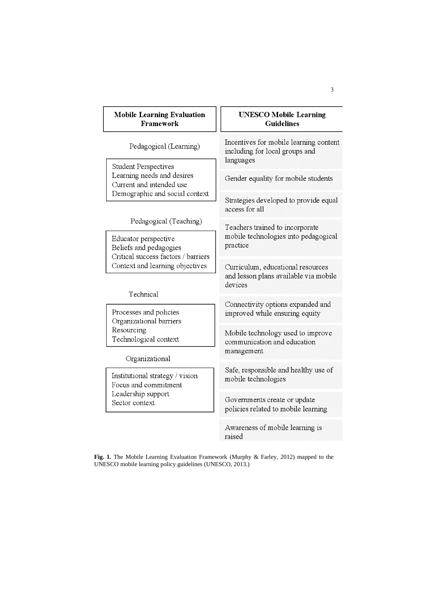#### **Mobile Learning Evaluation UNESCO Mobile Learning** Framework **Guidelines** Incentives for mobile learning content Pedagogical (Learning) including for local groups and languages **Student Perspectives** Learning needs and desires Gender equality for mobile students Current and intended use Demographic and social context Strategies developed to provide equal access for all Pedagogical (Teaching) Teachers trained to incorporate mobile technologies into pedagogical Educator perspective practice Beliefs and pedagogies Critical success factors / barriers Context and learning objectives Curriculum, educational resources and lesson plans available via mobile devices Technical Connectivity options expanded and Processes and policies improved while ensuring equity Organizational barriers Resourcing Mobile technology used to improve Technological context communication and education management Organizational Safe, responsible and healthy use of Institutional strategy / vision mobile technologies Focus and commitment Leadership support Governments create or update Sector context policies related to mobile learning Awareness of mobile learning is

**Fig. 1.** The Mobile Learning Evaluation Framework (Murphy & Farley, 2012) mapped to the UNESCO mobile learning policy guidelines (UNESCO, 2013.)

raised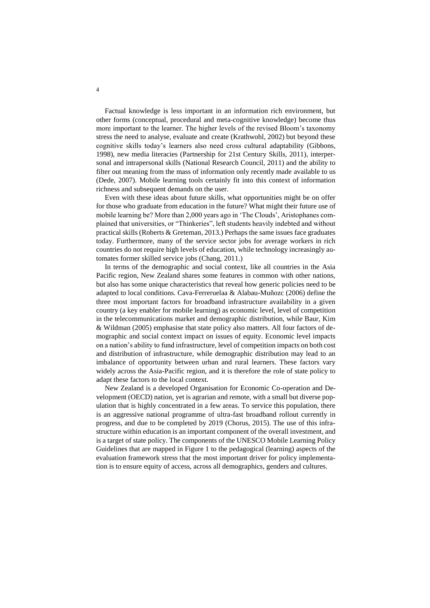Factual knowledge is less important in an information rich environment, but other forms (conceptual, procedural and meta-cognitive knowledge) become thus more important to the learner. The higher levels of the revised Bloom's taxonomy stress the need to analyse, evaluate and create (Krathwohl, 2002) but beyond these cognitive skills today's learners also need cross cultural adaptability (Gibbons, 1998), new media literacies (Partnership for 21st Century Skills, 2011), interpersonal and intrapersonal skills (National Research Council, 2011) and the ability to filter out meaning from the mass of information only recently made available to us (Dede, 2007). Mobile learning tools certainly fit into this context of information richness and subsequent demands on the user.

Even with these ideas about future skills, what opportunities might be on offer for those who graduate from education in the future? What might their future use of mobile learning be? More than 2,000 years ago in 'The Clouds', Aristophanes complained that universities, or "Thinkeries", left students heavily indebted and without practical skills (Roberts & Greteman, 2013.) Perhaps the same issues face graduates today. Furthermore, many of the service sector jobs for average workers in rich countries do not require high levels of education, while technology increasingly automates former skilled service jobs (Chang, 2011.)

In terms of the demographic and social context, like all countries in the Asia Pacific region, New Zealand shares some features in common with other nations, but also has some unique characteristics that reveal how generic policies need to be adapted to local conditions. Cava-Ferreruelaa & Alabau-Muñozc (2006) define the three most important factors for broadband infrastructure availability in a given country (a key enabler for mobile learning) as economic level, level of competition in the telecommunications market and demographic distribution, while Baur, Kim & Wildman (2005) emphasise that state policy also matters. All four factors of demographic and social context impact on issues of equity. Economic level impacts on a nation's ability to fund infrastructure, level of competition impacts on both cost and distribution of infrastructure, while demographic distribution may lead to an imbalance of opportunity between urban and rural learners. These factors vary widely across the Asia-Pacific region, and it is therefore the role of state policy to adapt these factors to the local context.

New Zealand is a developed Organisation for Economic Co-operation and Development (OECD) nation, yet is agrarian and remote, with a small but diverse population that is highly concentrated in a few areas. To service this population, there is an aggressive national programme of ultra-fast broadband rollout currently in progress, and due to be completed by 2019 (Chorus, 2015). The use of this infrastructure within education is an important component of the overall investment, and is a target of state policy. The components of the UNESCO Mobile Learning Policy Guidelines that are mapped in Figure 1 to the pedagogical (learning) aspects of the evaluation framework stress that the most important driver for policy implementation is to ensure equity of access, across all demographics, genders and cultures.

4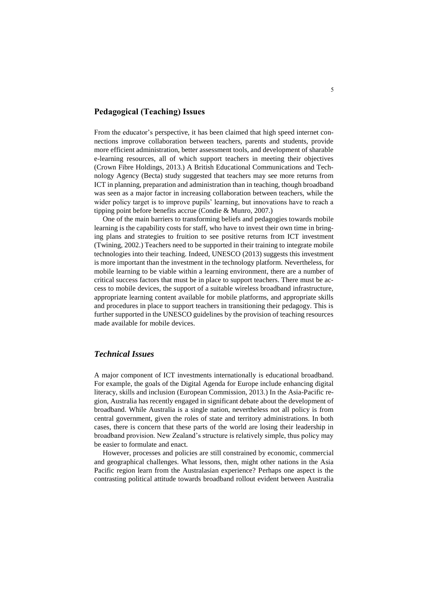## **Pedagogical (Teaching) Issues**

From the educator's perspective, it has been claimed that high speed internet connections improve collaboration between teachers, parents and students, provide more efficient administration, better assessment tools, and development of sharable e-learning resources, all of which support teachers in meeting their objectives (Crown Fibre Holdings, 2013.) A British Educational Communications and Technology Agency (Becta) study suggested that teachers may see more returns from ICT in planning, preparation and administration than in teaching, though broadband was seen as a major factor in increasing collaboration between teachers, while the wider policy target is to improve pupils' learning, but innovations have to reach a tipping point before benefits accrue (Condie & Munro, 2007.)

One of the main barriers to transforming beliefs and pedagogies towards mobile learning is the capability costs for staff, who have to invest their own time in bringing plans and strategies to fruition to see positive returns from ICT investment (Twining, 2002.) Teachers need to be supported in their training to integrate mobile technologies into their teaching. Indeed, UNESCO (2013) suggests this investment is more important than the investment in the technology platform. Nevertheless, for mobile learning to be viable within a learning environment, there are a number of critical success factors that must be in place to support teachers. There must be access to mobile devices, the support of a suitable wireless broadband infrastructure, appropriate learning content available for mobile platforms, and appropriate skills and procedures in place to support teachers in transitioning their pedagogy. This is further supported in the UNESCO guidelines by the provision of teaching resources made available for mobile devices.

## *Technical Issues*

A major component of ICT investments internationally is educational broadband. For example, the goals of the Digital Agenda for Europe include enhancing digital literacy, skills and inclusion (European Commission, 2013.) In the Asia-Pacific region, Australia has recently engaged in significant debate about the development of broadband. While Australia is a single nation, nevertheless not all policy is from central government, given the roles of state and territory administrations. In both cases, there is concern that these parts of the world are losing their leadership in broadband provision. New Zealand's structure is relatively simple, thus policy may be easier to formulate and enact.

However, processes and policies are still constrained by economic, commercial and geographical challenges. What lessons, then, might other nations in the Asia Pacific region learn from the Australasian experience? Perhaps one aspect is the contrasting political attitude towards broadband rollout evident between Australia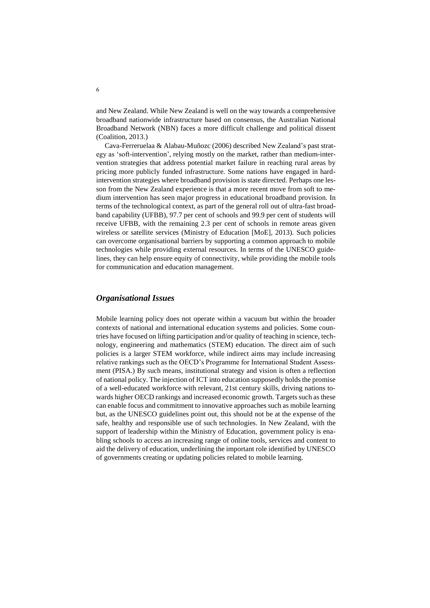and New Zealand. While New Zealand is well on the way towards a comprehensive broadband nationwide infrastructure based on consensus, the Australian National Broadband Network (NBN) faces a more difficult challenge and political dissent (Coalition, 2013.)

Cava-Ferreruelaa & Alabau-Muñozc (2006) described New Zealand's past strategy as 'soft-intervention', relying mostly on the market, rather than medium-intervention strategies that address potential market failure in reaching rural areas by pricing more publicly funded infrastructure. Some nations have engaged in hardintervention strategies where broadband provision is state directed. Perhaps one lesson from the New Zealand experience is that a more recent move from soft to medium intervention has seen major progress in educational broadband provision. In terms of the technological context, as part of the general roll out of ultra-fast broadband capability (UFBB), 97.7 per cent of schools and 99.9 per cent of students will receive UFBB, with the remaining 2.3 per cent of schools in remote areas given wireless or satellite services (Ministry of Education [MoE], 2013). Such policies can overcome organisational barriers by supporting a common approach to mobile technologies while providing external resources. In terms of the UNESCO guidelines, they can help ensure equity of connectivity, while providing the mobile tools for communication and education management.

# *Organisational Issues*

Mobile learning policy does not operate within a vacuum but within the broader contexts of national and international education systems and policies. Some countries have focused on lifting participation and/or quality of teaching in science, technology, engineering and mathematics (STEM) education. The direct aim of such policies is a larger STEM workforce, while indirect aims may include increasing relative rankings such as the OECD's Programme for International Student Assessment (PISA.) By such means, institutional strategy and vision is often a reflection of national policy. The injection of ICT into education supposedly holds the promise of a well-educated workforce with relevant, 21st century skills, driving nations towards higher OECD rankings and increased economic growth. Targets such as these can enable focus and commitment to innovative approaches such as mobile learning but, as the UNESCO guidelines point out, this should not be at the expense of the safe, healthy and responsible use of such technologies. In New Zealand, with the support of leadership within the Ministry of Education, government policy is enabling schools to access an increasing range of online tools, services and content to aid the delivery of education, underlining the important role identified by UNESCO of governments creating or updating policies related to mobile learning.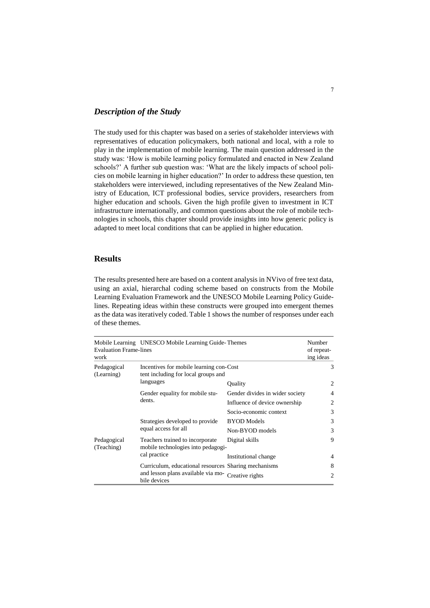## *Description of the Study*

The study used for this chapter was based on a series of stakeholder interviews with representatives of education policymakers, both national and local, with a role to play in the implementation of mobile learning. The main question addressed in the study was: 'How is mobile learning policy formulated and enacted in New Zealand schools?' A further sub question was: 'What are the likely impacts of school policies on mobile learning in higher education?' In order to address these question, ten stakeholders were interviewed, including representatives of the New Zealand Ministry of Education, ICT professional bodies, service providers, researchers from higher education and schools. Given the high profile given to investment in ICT infrastructure internationally, and common questions about the role of mobile technologies in schools, this chapter should provide insights into how generic policy is adapted to meet local conditions that can be applied in higher education.

# **Results**

The results presented here are based on a content analysis in NVivo of free text data, using an axial, hierarchal coding scheme based on constructs from the Mobile Learning Evaluation Framework and the UNESCO Mobile Learning Policy Guidelines. Repeating ideas within these constructs were grouped into emergent themes as the data was iteratively coded. Table 1 shows the number of responses under each of these themes.

| <b>Evaluation Frame-lines</b><br>work | Mobile Learning UNESCO Mobile Learning Guide-Themes                                                                        |                                 | Number<br>of repeat-<br>ing ideas |
|---------------------------------------|----------------------------------------------------------------------------------------------------------------------------|---------------------------------|-----------------------------------|
| Pedagogical<br>(Learning)             | Incentives for mobile learning con-Cost<br>tent including for local groups and                                             |                                 | 3                                 |
|                                       | languages                                                                                                                  | Quality                         | $\overline{2}$                    |
|                                       | Gender equality for mobile stu-<br>dents.                                                                                  | Gender divides in wider society | $\overline{4}$                    |
|                                       |                                                                                                                            | Influence of device ownership   | $\overline{2}$                    |
|                                       |                                                                                                                            | Socio-economic context          | 3                                 |
|                                       | Strategies developed to provide<br>equal access for all                                                                    | <b>BYOD</b> Models              | 3                                 |
|                                       |                                                                                                                            | Non-BYOD models                 | 3                                 |
| Pedagogical<br>(Teaching)             | Teachers trained to incorporate<br>mobile technologies into pedagogi-<br>cal practice                                      | Digital skills                  | 9                                 |
|                                       |                                                                                                                            | Institutional change            | $\overline{4}$                    |
|                                       | Curriculum, educational resources Sharing mechanisms<br>and lesson plans available via mo- Creative rights<br>bile devices |                                 | 8                                 |
|                                       |                                                                                                                            |                                 | $\overline{2}$                    |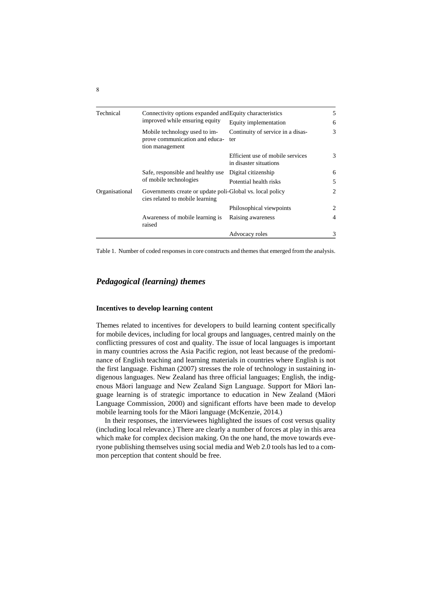| Technical      | Connectivity options expanded and Equity characteristics<br>5                                |                                                            |                |
|----------------|----------------------------------------------------------------------------------------------|------------------------------------------------------------|----------------|
|                | improved while ensuring equity                                                               | Equity implementation                                      | 6              |
|                | Mobile technology used to im-<br>prove communication and educa-<br>tion management           | Continuity of service in a disas-<br>ter                   | 3              |
|                |                                                                                              | Efficient use of mobile services<br>in disaster situations | 3              |
|                | Safe, responsible and healthy use<br>of mobile technologies                                  | Digital citizenship                                        | 6              |
|                |                                                                                              | Potential health risks                                     | 5              |
| Organisational | Governments create or update poli-Global vs. local policy<br>cies related to mobile learning |                                                            | 2              |
|                |                                                                                              | Philosophical viewpoints                                   | 2              |
|                | Awareness of mobile learning is<br>raised                                                    | Raising awareness                                          | $\overline{4}$ |
|                |                                                                                              | Advocacy roles                                             | 3              |

Table 1. Number of coded responses in core constructs and themes that emerged from the analysis.

# *Pedagogical (learning) themes*

## **Incentives to develop learning content**

Themes related to incentives for developers to build learning content specifically for mobile devices, including for local groups and languages, centred mainly on the conflicting pressures of cost and quality. The issue of local languages is important in many countries across the Asia Pacific region, not least because of the predominance of English teaching and learning materials in countries where English is not the first language. Fishman (2007) stresses the role of technology in sustaining indigenous languages. New Zealand has three official languages; English, the indigenous Māori language and New Zealand Sign Language. Support for Māori language learning is of strategic importance to education in New Zealand (Māori Language Commission, 2000) and significant efforts have been made to develop mobile learning tools for the Māori language (McKenzie, 2014.)

In their responses, the interviewees highlighted the issues of cost versus quality (including local relevance.) There are clearly a number of forces at play in this area which make for complex decision making. On the one hand, the move towards everyone publishing themselves using social media and Web 2.0 tools has led to a common perception that content should be free.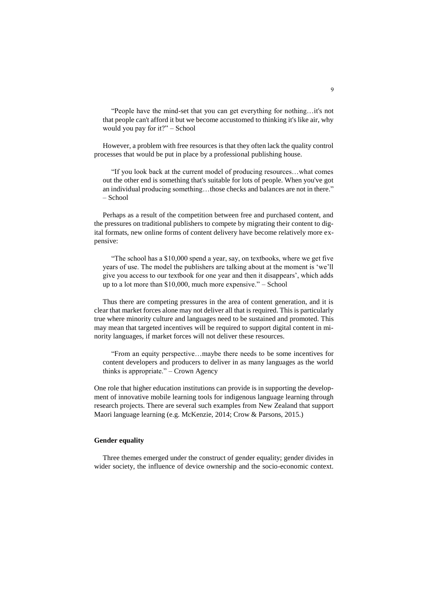"People have the mind-set that you can get everything for nothing…it's not that people can't afford it but we become accustomed to thinking it's like air, why would you pay for it?" – School

However, a problem with free resources is that they often lack the quality control processes that would be put in place by a professional publishing house.

"If you look back at the current model of producing resources…what comes out the other end is something that's suitable for lots of people. When you've got an individual producing something…those checks and balances are not in there." – School

Perhaps as a result of the competition between free and purchased content, and the pressures on traditional publishers to compete by migrating their content to digital formats, new online forms of content delivery have become relatively more expensive:

"The school has a \$10,000 spend a year, say, on textbooks, where we get five years of use. The model the publishers are talking about at the moment is 'we'll give you access to our textbook for one year and then it disappears', which adds up to a lot more than \$10,000, much more expensive." – School

Thus there are competing pressures in the area of content generation, and it is clear that market forces alone may not deliver all that is required. This is particularly true where minority culture and languages need to be sustained and promoted. This may mean that targeted incentives will be required to support digital content in minority languages, if market forces will not deliver these resources.

"From an equity perspective…maybe there needs to be some incentives for content developers and producers to deliver in as many languages as the world thinks is appropriate." – Crown Agency

One role that higher education institutions can provide is in supporting the development of innovative mobile learning tools for indigenous language learning through research projects. There are several such examples from New Zealand that support Maori language learning (e.g. McKenzie, 2014; Crow & Parsons, 2015.)

## **Gender equality**

Three themes emerged under the construct of gender equality; gender divides in wider society, the influence of device ownership and the socio-economic context.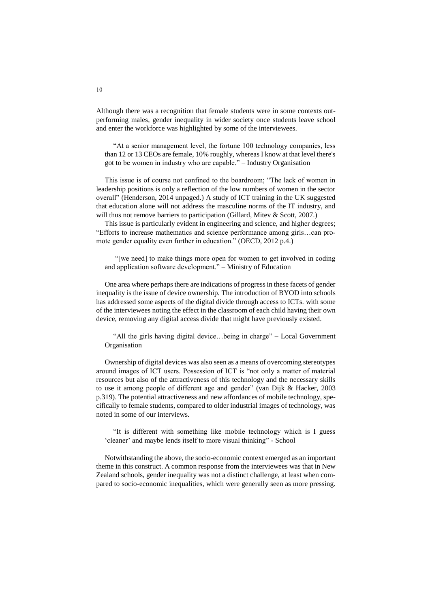Although there was a recognition that female students were in some contexts outperforming males, gender inequality in wider society once students leave school and enter the workforce was highlighted by some of the interviewees.

"At a senior management level, the fortune 100 technology companies, less than 12 or 13 CEOs are female, 10% roughly, whereas I know at that level there's got to be women in industry who are capable." – Industry Organisation

This issue is of course not confined to the boardroom; "The lack of women in leadership positions is only a reflection of the low numbers of women in the sector overall" (Henderson, 2014 unpaged.) A study of ICT training in the UK suggested that education alone will not address the masculine norms of the IT industry, and will thus not remove barriers to participation (Gillard, Mitev & Scott, 2007.)

This issue is particularly evident in engineering and science, and higher degrees; "Efforts to increase mathematics and science performance among girls…can promote gender equality even further in education." (OECD, 2012 p.4.)

"[we need] to make things more open for women to get involved in coding and application software development." – Ministry of Education

One area where perhaps there are indications of progress in these facets of gender inequality is the issue of device ownership. The introduction of BYOD into schools has addressed some aspects of the digital divide through access to ICTs. with some of the interviewees noting the effect in the classroom of each child having their own device, removing any digital access divide that might have previously existed.

"All the girls having digital device…being in charge" – Local Government Organisation

Ownership of digital devices was also seen as a means of overcoming stereotypes around images of ICT users. Possession of ICT is "not only a matter of material resources but also of the attractiveness of this technology and the necessary skills to use it among people of different age and gender" (van Dijk & Hacker, 2003 p.319). The potential attractiveness and new affordances of mobile technology, specifically to female students, compared to older industrial images of technology, was noted in some of our interviews.

"It is different with something like mobile technology which is I guess 'cleaner' and maybe lends itself to more visual thinking" - School

Notwithstanding the above, the socio-economic context emerged as an important theme in this construct. A common response from the interviewees was that in New Zealand schools, gender inequality was not a distinct challenge, at least when compared to socio-economic inequalities, which were generally seen as more pressing.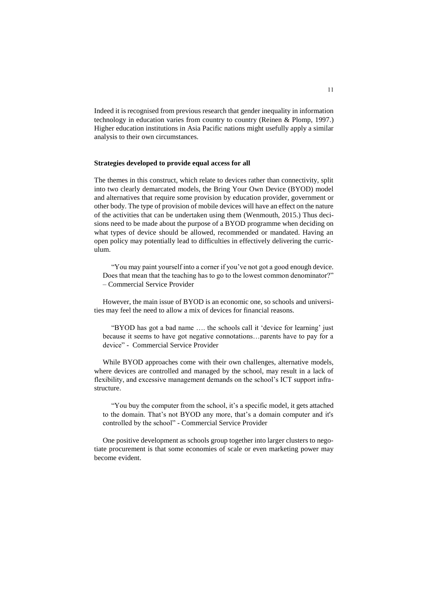Indeed it is recognised from previous research that gender inequality in information technology in education varies from country to country (Reinen & Plomp, 1997.) Higher education institutions in Asia Pacific nations might usefully apply a similar analysis to their own circumstances.

## **Strategies developed to provide equal access for all**

The themes in this construct, which relate to devices rather than connectivity, split into two clearly demarcated models, the Bring Your Own Device (BYOD) model and alternatives that require some provision by education provider, government or other body. The type of provision of mobile devices will have an effect on the nature of the activities that can be undertaken using them (Wenmouth, 2015.) Thus decisions need to be made about the purpose of a BYOD programme when deciding on what types of device should be allowed, recommended or mandated. Having an open policy may potentially lead to difficulties in effectively delivering the curriculum.

"You may paint yourself into a corner if you've not got a good enough device. Does that mean that the teaching has to go to the lowest common denominator?" – Commercial Service Provider

However, the main issue of BYOD is an economic one, so schools and universities may feel the need to allow a mix of devices for financial reasons.

"BYOD has got a bad name …. the schools call it 'device for learning' just because it seems to have got negative connotations…parents have to pay for a device" - Commercial Service Provider

While BYOD approaches come with their own challenges, alternative models, where devices are controlled and managed by the school, may result in a lack of flexibility, and excessive management demands on the school's ICT support infrastructure.

"You buy the computer from the school, it's a specific model, it gets attached to the domain. That's not BYOD any more, that's a domain computer and it's controlled by the school" - Commercial Service Provider

One positive development as schools group together into larger clusters to negotiate procurement is that some economies of scale or even marketing power may become evident.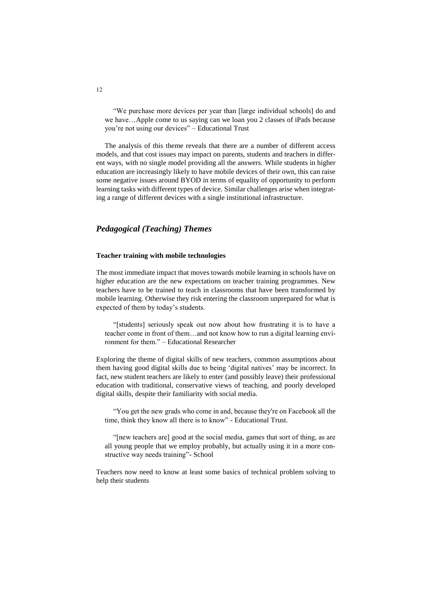"We purchase more devices per year than [large individual schools] do and we have…Apple come to us saying can we loan you 2 classes of iPads because you're not using our devices" – Educational Trust

The analysis of this theme reveals that there are a number of different access models, and that cost issues may impact on parents, students and teachers in different ways, with no single model providing all the answers. While students in higher education are increasingly likely to have mobile devices of their own, this can raise some negative issues around BYOD in terms of equality of opportunity to perform learning tasks with different types of device. Similar challenges arise when integrating a range of different devices with a single institutional infrastructure.

# *Pedagogical (Teaching) Themes*

### **Teacher training with mobile technologies**

The most immediate impact that moves towards mobile learning in schools have on higher education are the new expectations on teacher training programmes. New teachers have to be trained to teach in classrooms that have been transformed by mobile learning. Otherwise they risk entering the classroom unprepared for what is expected of them by today's students.

"[students] seriously speak out now about how frustrating it is to have a teacher come in front of them…and not know how to run a digital learning environment for them." – Educational Researcher

Exploring the theme of digital skills of new teachers, common assumptions about them having good digital skills due to being 'digital natives' may be incorrect. In fact, new student teachers are likely to enter (and possibly leave) their professional education with traditional, conservative views of teaching, and poorly developed digital skills, despite their familiarity with social media.

"You get the new grads who come in and, because they're on Facebook all the time, think they know all there is to know" - Educational Trust.

"[new teachers are] good at the social media, games that sort of thing, as are all young people that we employ probably, but actually using it in a more constructive way needs training"- School

Teachers now need to know at least some basics of technical problem solving to help their students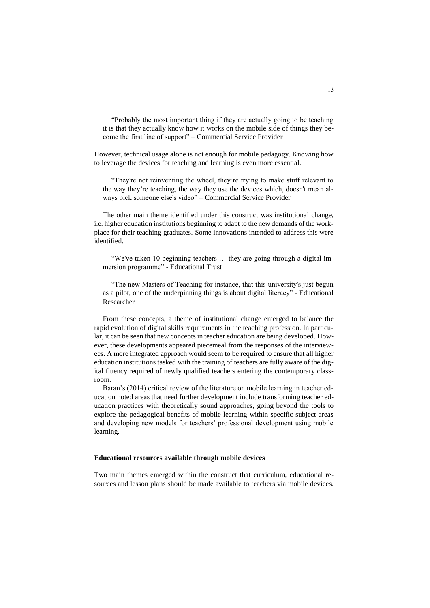"Probably the most important thing if they are actually going to be teaching it is that they actually know how it works on the mobile side of things they become the first line of support" – Commercial Service Provider

However, technical usage alone is not enough for mobile pedagogy. Knowing how to leverage the devices for teaching and learning is even more essential.

"They're not reinventing the wheel, they're trying to make stuff relevant to the way they're teaching, the way they use the devices which, doesn't mean always pick someone else's video" – Commercial Service Provider

The other main theme identified under this construct was institutional change, i.e. higher education institutions beginning to adapt to the new demands of the workplace for their teaching graduates. Some innovations intended to address this were identified.

"We've taken 10 beginning teachers … they are going through a digital immersion programme" - Educational Trust

"The new Masters of Teaching for instance, that this university's just begun as a pilot, one of the underpinning things is about digital literacy" - Educational Researcher

From these concepts, a theme of institutional change emerged to balance the rapid evolution of digital skills requirements in the teaching profession. In particular, it can be seen that new concepts in teacher education are being developed. However, these developments appeared piecemeal from the responses of the interviewees. A more integrated approach would seem to be required to ensure that all higher education institutions tasked with the training of teachers are fully aware of the digital fluency required of newly qualified teachers entering the contemporary classroom.

Baran's (2014) critical review of the literature on mobile learning in teacher education noted areas that need further development include transforming teacher education practices with theoretically sound approaches, going beyond the tools to explore the pedagogical benefits of mobile learning within specific subject areas and developing new models for teachers' professional development using mobile learning.

#### **Educational resources available through mobile devices**

Two main themes emerged within the construct that curriculum, educational resources and lesson plans should be made available to teachers via mobile devices.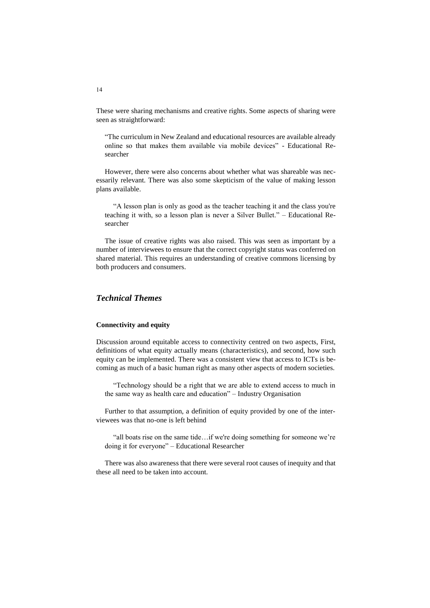These were sharing mechanisms and creative rights. Some aspects of sharing were seen as straightforward:

"The curriculum in New Zealand and educational resources are available already online so that makes them available via mobile devices" - Educational Researcher

However, there were also concerns about whether what was shareable was necessarily relevant. There was also some skepticism of the value of making lesson plans available.

"A lesson plan is only as good as the teacher teaching it and the class you're teaching it with, so a lesson plan is never a Silver Bullet." – Educational Researcher

The issue of creative rights was also raised. This was seen as important by a number of interviewees to ensure that the correct copyright status was conferred on shared material. This requires an understanding of creative commons licensing by both producers and consumers.

# *Technical Themes*

## **Connectivity and equity**

Discussion around equitable access to connectivity centred on two aspects, First, definitions of what equity actually means (characteristics), and second, how such equity can be implemented. There was a consistent view that access to ICTs is becoming as much of a basic human right as many other aspects of modern societies.

"Technology should be a right that we are able to extend access to much in the same way as health care and education" – Industry Organisation

Further to that assumption, a definition of equity provided by one of the interviewees was that no-one is left behind

"all boats rise on the same tide…if we're doing something for someone we're doing it for everyone" – Educational Researcher

There was also awareness that there were several root causes of inequity and that these all need to be taken into account.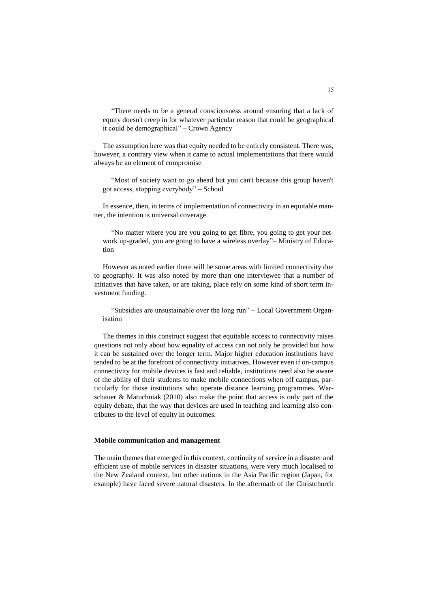"There needs to be a general consciousness around ensuring that a lack of equity doesn't creep in for whatever particular reason that could be geographical it could be demographical" – Crown Agency

The assumption here was that equity needed to be entirely consistent. There was, however, a contrary view when it came to actual implementations that there would always be an element of compromise

"Most of society want to go ahead but you can't because this group haven't got access, stopping everybody" – School

In essence, then, in terms of implementation of connectivity in an equitable manner, the intention is universal coverage.

"No matter where you are you going to get fibre, you going to get your network up-graded, you are going to have a wireless overlay"– Ministry of Education

However as noted earlier there will be some areas with limited connectivity due to geography. It was also noted by more than one interviewee that a number of initiatives that have taken, or are taking, place rely on some kind of short term investment funding.

"Subsidies are unsustainable over the long run" – Local Government Organisation

The themes in this construct suggest that equitable access to connectivity raises questions not only about how equality of access can not only be provided but how it can be sustained over the longer term. Major higher education institutions have tended to be at the forefront of connectivity initiatives. However even if on-campus connectivity for mobile devices is fast and reliable, institutions need also be aware of the ability of their students to make mobile connections when off campus, particularly for those institutions who operate distance learning programmes. Warschauer & Matuchniak (2010) also make the point that access is only part of the equity debate, that the way that devices are used in teaching and learning also contributes to the level of equity in outcomes.

#### **Mobile communication and management**

The main themes that emerged in this context, continuity of service in a disaster and efficient use of mobile services in disaster situations, were very much localised to the New Zealand context, but other nations in the Asia Pacific region (Japan, for example) have faced severe natural disasters. In the aftermath of the Christchurch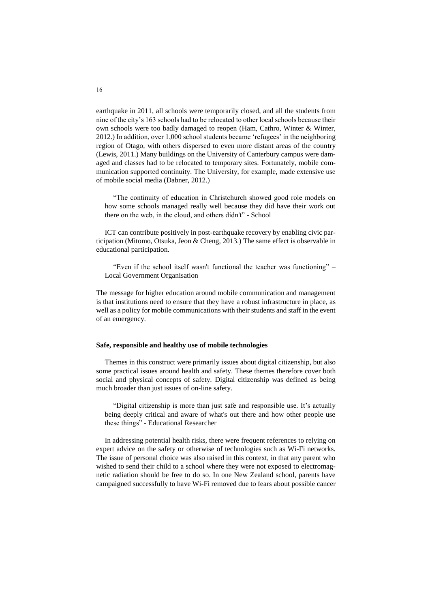earthquake in 2011, all schools were temporarily closed, and all the students from nine of the city's 163 schools had to be relocated to other local schools because their own schools were too badly damaged to reopen (Ham, Cathro, Winter & Winter, 2012.) In addition, over 1,000 school students became 'refugees' in the neighboring region of Otago, with others dispersed to even more distant areas of the country (Lewis, 2011.) Many buildings on the University of Canterbury campus were damaged and classes had to be relocated to temporary sites. Fortunately, mobile communication supported continuity. The University, for example, made extensive use of mobile social media (Dabner, 2012.)

"The continuity of education in Christchurch showed good role models on how some schools managed really well because they did have their work out there on the web, in the cloud, and others didn't" - School

ICT can contribute positively in post-earthquake recovery by enabling civic participation (Mitomo, Otsuka, Jeon & Cheng, 2013.) The same effect is observable in educational participation.

"Even if the school itself wasn't functional the teacher was functioning" – Local Government Organisation

The message for higher education around mobile communication and management is that institutions need to ensure that they have a robust infrastructure in place, as well as a policy for mobile communications with their students and staff in the event of an emergency.

## **Safe, responsible and healthy use of mobile technologies**

Themes in this construct were primarily issues about digital citizenship, but also some practical issues around health and safety. These themes therefore cover both social and physical concepts of safety. Digital citizenship was defined as being much broader than just issues of on-line safety.

"Digital citizenship is more than just safe and responsible use. It's actually being deeply critical and aware of what's out there and how other people use these things" - Educational Researcher

In addressing potential health risks, there were frequent references to relying on expert advice on the safety or otherwise of technologies such as Wi-Fi networks. The issue of personal choice was also raised in this context, in that any parent who wished to send their child to a school where they were not exposed to electromagnetic radiation should be free to do so. In one New Zealand school, parents have campaigned successfully to have Wi-Fi removed due to fears about possible cancer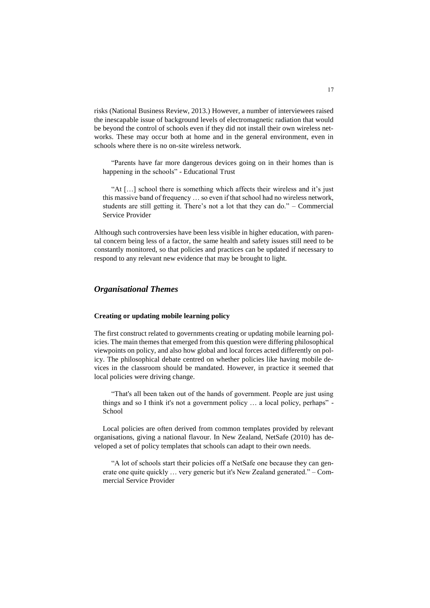risks (National Business Review, 2013.) However, a number of interviewees raised the inescapable issue of background levels of electromagnetic radiation that would be beyond the control of schools even if they did not install their own wireless networks. These may occur both at home and in the general environment, even in schools where there is no on-site wireless network.

"Parents have far more dangerous devices going on in their homes than is happening in the schools" - Educational Trust

"At […] school there is something which affects their wireless and it's just this massive band of frequency … so even if that school had no wireless network, students are still getting it. There's not a lot that they can do." – Commercial Service Provider

Although such controversies have been less visible in higher education, with parental concern being less of a factor, the same health and safety issues still need to be constantly monitored, so that policies and practices can be updated if necessary to respond to any relevant new evidence that may be brought to light.

# *Organisational Themes*

#### **Creating or updating mobile learning policy**

The first construct related to governments creating or updating mobile learning policies. The main themes that emerged from this question were differing philosophical viewpoints on policy, and also how global and local forces acted differently on policy. The philosophical debate centred on whether policies like having mobile devices in the classroom should be mandated. However, in practice it seemed that local policies were driving change.

"That's all been taken out of the hands of government. People are just using things and so I think it's not a government policy … a local policy, perhaps" - School

Local policies are often derived from common templates provided by relevant organisations, giving a national flavour. In New Zealand, NetSafe (2010) has developed a set of policy templates that schools can adapt to their own needs.

"A lot of schools start their policies off a NetSafe one because they can generate one quite quickly … very generic but it's New Zealand generated." – Commercial Service Provider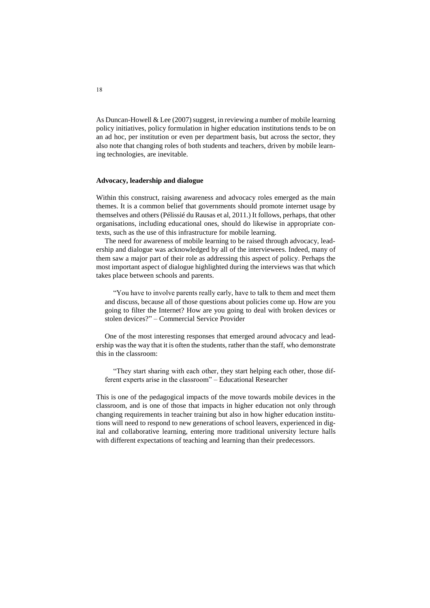As Duncan-Howell & Lee (2007) suggest, in reviewing a number of mobile learning policy initiatives, policy formulation in higher education institutions tends to be on an ad hoc, per institution or even per department basis, but across the sector, they also note that changing roles of both students and teachers, driven by mobile learning technologies, are inevitable.

## **Advocacy, leadership and dialogue**

Within this construct, raising awareness and advocacy roles emerged as the main themes. It is a common belief that governments should promote internet usage by themselves and others (Pélissié du Rausas et al, 2011.) It follows, perhaps, that other organisations, including educational ones, should do likewise in appropriate contexts, such as the use of this infrastructure for mobile learning.

The need for awareness of mobile learning to be raised through advocacy, leadership and dialogue was acknowledged by all of the interviewees. Indeed, many of them saw a major part of their role as addressing this aspect of policy. Perhaps the most important aspect of dialogue highlighted during the interviews was that which takes place between schools and parents.

"You have to involve parents really early, have to talk to them and meet them and discuss, because all of those questions about policies come up. How are you going to filter the Internet? How are you going to deal with broken devices or stolen devices?" – Commercial Service Provider

One of the most interesting responses that emerged around advocacy and leadership was the way that it is often the students, rather than the staff, who demonstrate this in the classroom:

"They start sharing with each other, they start helping each other, those different experts arise in the classroom" – Educational Researcher

This is one of the pedagogical impacts of the move towards mobile devices in the classroom, and is one of those that impacts in higher education not only through changing requirements in teacher training but also in how higher education institutions will need to respond to new generations of school leavers, experienced in digital and collaborative learning, entering more traditional university lecture halls with different expectations of teaching and learning than their predecessors.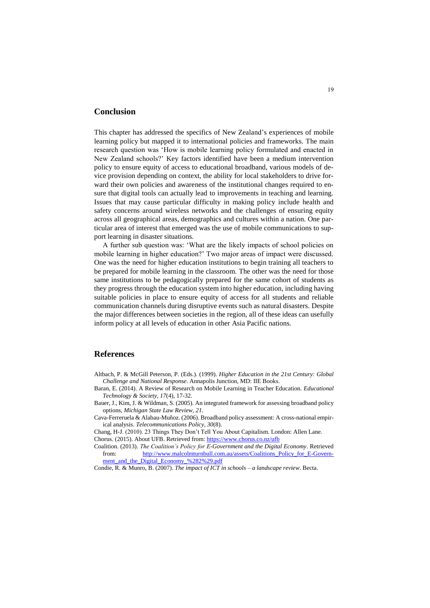## **Conclusion**

This chapter has addressed the specifics of New Zealand's experiences of mobile learning policy but mapped it to international policies and frameworks. The main research question was 'How is mobile learning policy formulated and enacted in New Zealand schools?' Key factors identified have been a medium intervention policy to ensure equity of access to educational broadband, various models of device provision depending on context, the ability for local stakeholders to drive forward their own policies and awareness of the institutional changes required to ensure that digital tools can actually lead to improvements in teaching and learning. Issues that may cause particular difficulty in making policy include health and safety concerns around wireless networks and the challenges of ensuring equity across all geographical areas, demographics and cultures within a nation. One particular area of interest that emerged was the use of mobile communications to support learning in disaster situations.

A further sub question was: 'What are the likely impacts of school policies on mobile learning in higher education?' Two major areas of impact were discussed. One was the need for higher education institutions to begin training all teachers to be prepared for mobile learning in the classroom. The other was the need for those same institutions to be pedagogically prepared for the same cohort of students as they progress through the education system into higher education, including having suitable policies in place to ensure equity of access for all students and reliable communication channels during disruptive events such as natural disasters. Despite the major differences between societies in the region, all of these ideas can usefully inform policy at all levels of education in other Asia Pacific nations.

## **References**

Altbach, P. & McGill Peterson, P. (Eds.). (1999). *Higher Education in the 21st Century: Global Challenge and National Response*. Annapolis Junction, MD: IIE Books.

Baran, E. (2014). A Review of Research on Mobile Learning in Teacher Education. *Educational Technology & Society, 17*(4), 17-32.

Bauer, J., Kim, J. & Wildman, S. (2005). An integrated framework for assessing broadband policy options, *Michigan State Law Review, 21*.

Cava-Ferreruela & Alabau-Muñoz. (2006). Broadband policy assessment: A cross-national empirical analysis. *Telecommunications Policy, 30*(8).

Chang, H-J. (2010). 23 Things They Don't Tell You About Capitalism. London: Allen Lane. Chorus. (2015). About UFB. Retrieved from: <https://www.chorus.co.nz/ufb>

Coalition. (2013). *The Coalition's Policy for E-Government and the Digital Economy*. Retrieved from: [http://www.malcolmturnbull.com.au/assets/Coalitions\\_Policy\\_for\\_E-Govern](http://www.malcolmturnbull.com.au/assets/Coalitions_Policy_for_E-Government_and_the_Digital_Economy_%282%29.pdf)[ment\\_and\\_the\\_Digital\\_Economy\\_%282%29.pdf](http://www.malcolmturnbull.com.au/assets/Coalitions_Policy_for_E-Government_and_the_Digital_Economy_%282%29.pdf)

Condie, R. & Munro, B. (2007). *The impact of ICT in schools – a landscape review*. Becta.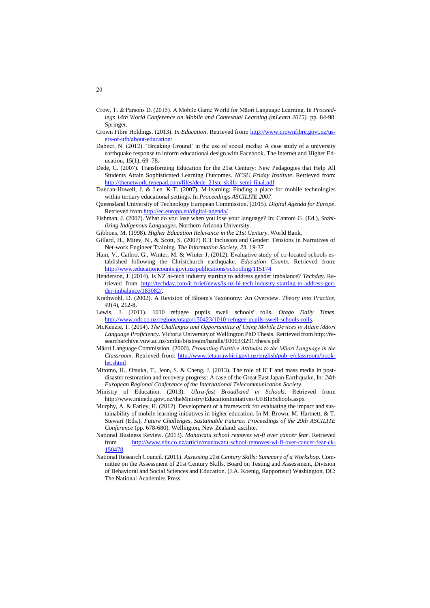- Crow, T. & Parsons D. (2015). A Mobile Game World for Māori Language Learning. In *Proceedings 14th World Conference on Mobile and Contextual Learning (mLearn 2015).* pp. 84-98. Springer.
- Crown Fibre Holdings. (2013). *In Education*. Retrieved from[: http://www.crownfibre.govt.nz/us](http://www.crownfibre.govt.nz/users-of-ufb/about-education/)[ers-of-ufb/about-education/](http://www.crownfibre.govt.nz/users-of-ufb/about-education/)
- Dabner, N. (2012). 'Breaking Ground' in the use of social media: A case study of a university earthquake response to inform educational design with Facebook. The Internet and Higher Education, 15(1), 69–78.
- Dede, C. (2007). Transforming Education for the 21st Century: New Pedagogies that Help All Students Attain Sophisticated Learning Outcomes. *NCSU Friday Institute*. Retrieved from: [http://thenetwork.typepad.com/files/dede\\_21stc-skills\\_semi-final.pdf](http://thenetwork.typepad.com/files/dede_21stc-skills_semi-final.pdf)
- Duncan-Howell, J. & Lee, K-T. (2007). M-learning: Finding a place for mobile technologies within tertiary educational settings. In *Proceedings ASCILITE 2007*.
- Queensland University of Technology European Commission. (2015). *Digital Agenda for Europe*. Retrieved from<http://ec.europa.eu/digital-agenda/>
- Fishman, J. (2007). What do you lose when you lose your language? In: Cantoni G. (Ed.), *Stabilizing Indigenous Languages*. Northern Arizona University.
- Gibbons, M. (1998). *Higher Education Relevance in the 21st Century*. World Bank.
- Gillard, H., Mitev, N., & Scott, S. (2007) ICT Inclusion and Gender: Tensions in Narratives of Net-work Engineer Training. *The Information Society, 23*, 19-37
- Ham, V., Cathro, G., Winter, M. & Winter J. (2012). Evaluative study of co-located schools established following the Christchurch earthquake. *Education Counts*. Retrieved from: <http://www.educationcounts.govt.nz/publications/schooling/115174>
- Henderson, J. (2014). Is NZ hi-tech industry starting to address gender imbalance? *Techday*. Retrieved from [http://techday.com/it-brief/news/is-nz-hi-tech-industry-starting-to-address-gen](http://techday.com/it-brief/news/is-nz-hi-tech-industry-starting-to-address-gender-imbalance/183082/)[der-imbalance/183082/.](http://techday.com/it-brief/news/is-nz-hi-tech-industry-starting-to-address-gender-imbalance/183082/)
- Krathwohl, D. (2002). A Revision of Bloom's Taxonomy: An Overview. *Theory into Practice, 41*(4), 212-8.
- Lewis, J. (2011). 1010 refugee pupils swell schools' rolls. *Otago Daily Times*. [http://www.odt.co.nz/regions/otago/150423/1010-refugee-pupils-swell-schools-rolls.](http://www.odt.co.nz/regions/otago/150423/1010-refugee-pupils-swell-schools-rolls)
- McKenzie, T. (2014). *The Challenges and Opportunities of Using Mobile Devices to Attain Māori Language Proficiency*. Victoria University of Wellington PhD Thesis. Retrieved from http://researcharchive.vuw.ac.nz/xmlui/bitstream/handle/10063/3291/thesis.pdf
- Māori Language Commission. (2000). *Promoting Positive Attitudes to the Māori Language in the Classroom*. Retrieved from: [http://www.tetaurawhiri.govt.nz/english/pub\\_e/classroom/book](http://www.tetaurawhiri.govt.nz/english/pub_e/classroom/booklet.shtml)[let.shtml](http://www.tetaurawhiri.govt.nz/english/pub_e/classroom/booklet.shtml)
- Mitomo, H., Otsuka, T., Jeon, S. & Cheng, J. (2013). The role of ICT and mass media in postdisaster restoration and recovery progress: A case of the Great East Japan Earthquake, In: *24th European Regional Conference of the International Telecommunication Society*.
- Ministry of Education. (2013). *Ultra-fast Broadband in Schools*. Retrieved from: http://www.minedu.govt.nz/theMinistry/EducationInitiatives/UFBInSchools.aspx
- Murphy, A. & Farley, H. (2012). Development of a framework for evaluating the impact and sustainability of mobile learning initiatives in higher education. In M. Brown, M. Hartnett, & T. Stewart (Eds.), *Future Challenges, Sustainable Futures: Proceedings of the 29th ASCILITE Conference* (pp. 678-680). Wellington, New Zealand: ascilite.
- National Business Review. (2013). *Manawatu school removes wi-fi over cancer fear*. Retrieved from [http://www.nbr.co.nz/article/manawatu-school-removes-wi-fi-over-cancer-fear-ck-](http://www.nbr.co.nz/article/manawatu-school-removes-wi-fi-over-cancer-fear-ck-150478)[150478](http://www.nbr.co.nz/article/manawatu-school-removes-wi-fi-over-cancer-fear-ck-150478)
- National Research Council. (2011). *Assessing 21st Century Skills: Summary of a Workshop*. Committee on the Assessment of 21st Century Skills. Board on Testing and Assessment, Division of Behavioral and Social Sciences and Education. (J.A. Koenig, Rapporteur) Washington, DC: The National Academies Press.